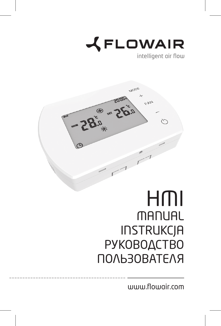# **KELOWAIR**

intelligent air flow



# HMI MANUAL **INSTRUKCJA** РУКОВОДСТВО ПОЛЬЗОВАТЕЛЯ

www.flowair.com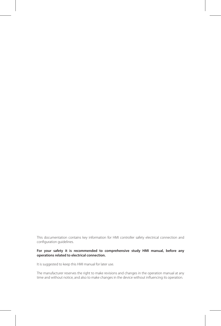This documentation contains key information for HMI controller safety electrical connection and configuration guidelines.

#### **For your safety it is recommended to comprehensive study HMI manual, before any operations related to electrical connection.**

It is suggested to keep this HMI manual for later use.

The manufacturer reserves the right to make revisions and changes in the operation manual at any time and without notice, and also to make changes in the device without influencing its operation.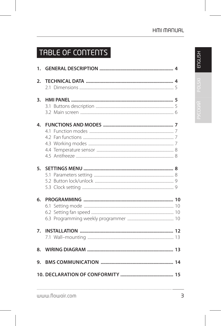## TABLE OF CONTENTS

| $\mathcal{L}$  |  |
|----------------|--|
| 3.             |  |
| 4.             |  |
| 5.             |  |
| 6.             |  |
| 7 <sub>1</sub> |  |
| 8.             |  |
| 9.             |  |
|                |  |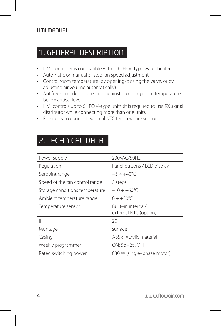## 1. GENERAL DESCRIPTION

- HMI controller is compatible with LEO FB V–type water heaters.
- Automatic or manual 3–step fan speed adjustment.
- Control room temperature (by opening/closing the valve, or by adiusting air volume automatically).
- Antifreeze mode protection against dropping room temperature below critical level.
- HMI controls up to 6 LEO V-type units (it is required to use RX signal distributor while connecting more than one unit).
- Possibility to connect external NTC temperature sensor.

## 2. TECHNICAL DATA

| Power supply                   | 230VAC/50Hz                                 |
|--------------------------------|---------------------------------------------|
| Regulation                     | Panel buttons / LCD display                 |
| Setpoint range                 | $+5 \div +40^{\circ}$ C                     |
| Speed of the fan control range | 3 steps                                     |
| Storage conditions temperature | $-10 \div +60^{\circ}$ C                    |
| Ambient temperature range      | $0 \div +50^{\circ}$ C                      |
| Temperature sensor             | Built-in internal/<br>external NTC (option) |
| IP                             | 20                                          |
| Montage                        | surface                                     |
| Casing                         | ABS & Acrylic material                      |
| Weekly programmer              | ON: 5d+2d. OFF                              |
| Rated switching power          | 830 W (single-phase motor)                  |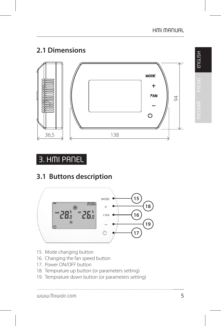ENGLISH

## **2.1 Dimensions**



## 3. HMI PANEL

## **3.1 Buttons description**



- 15. Mode changing button
- 16. Changing the fan speed button
- 17. Power ON/OFF button
- 18. Temprature up button (or parameters setting)
- 19. Temprature down button (or parameters setting)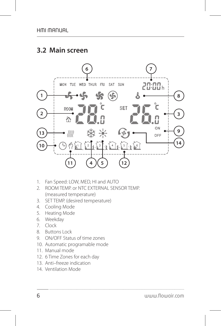### **3.2 Main screen**



- 1. Fan Speed: LOW, MED, HI and AUTO<br>2. ROOM TEMP or NTC EXTERNAL SENS
- 2. ROOM TEMP. or NTC EXTERNAL SENSOR TEMP. (measured temperature)
- 3. SET TEMP. (desired temperature)
- 4. Cooling Mode
- 5. Heating Mode
- 6. Weekday
- 7. Clock
- 8. Buttons Lock
- 9. ON/OFF Status of time zones
- 10. Automatic programable mode
- 11. Manual mode
- 12. 6 Time Zones for each day
- 13. Anti–freeze indication
- 14. Ventilation Mode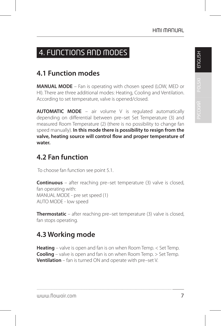HMI MANUAL

## 4. FUNCTIONS AND MODES

#### **4.1 Function modes**

**MANUAL MODE** – Fan is operating with chosen speed (LOW, MED or HI). There are three additional modes: Heating, Cooling and Ventilation. According to set temperature, valve is opened/closed.

**AUTOMATIC MODE** – air volume V is regulated automatically depending on differential between pre–set Set Temperature (3) and measured Room Temperature (2) (there is no possibility to change fan speed manually). **In this mode there is possibility to resign from the valve, heating source will control flow and proper temperature of water.** 

#### **4.2 Fan function**

To choose fan function see point 5.1.

**Continuous** – after reaching pre–set temperature (3) valve is closed, fan operating with: MANUAL MODE - pre set speed (1) AUTO MODE - low speed

**Thermostatic** – after reaching pre–set temperature (3) valve is closed, fan stops operating.

#### **4.3 Working mode**

**Heating** – valve is open and fan is on when Room Temp. < Set Temp. **Cooling** – valve is open and fan is on when Room Temp. > Set Temp. **Ventilation** – fan is turned ON and operate with pre–set V.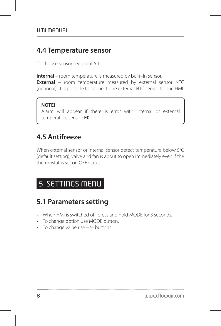#### **4.4 Temperature sensor**

To choose sensor see point 5.1.

**Internal** – room temperature is measured by built–in sensor.

**External** – room temperature measured by external sensor NTC (optional). It is possible to connect one external NTC sensor to one HMI.

#### **NOTE!**

Alarm will appear if there is error with internal or external temperature sensor: **E0**.

### **4.5 Antifreeze**

When external sensor or internal sensor detect temperature below 5°C (default setting), valve and fan is about to open immediately even if the thermostat is set on OFF status.

## 5. SETTINGS MENU

### **5.1 Parameters setting**

- When HMI is switched off, press and hold MODE for 3 seconds.
- To change option use MODE button.
- To change value use +/- buttons.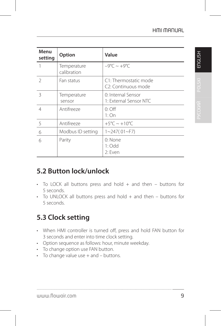| Menu<br>setting | Option                     | Value                                                     |
|-----------------|----------------------------|-----------------------------------------------------------|
|                 | Temperature<br>calibration | $-9^{\circ}$ C ~ +9 $^{\circ}$ C                          |
| $\mathcal{P}$   | Fan status                 | C1: Thermostatic mode<br>C <sub>2</sub> : Continuous mode |
| 3               | Temperature<br>sensor      | 0: Internal Sensor<br>1: External Sensor NTC              |
| $\overline{4}$  | <b>Antifreeze</b>          | $0:$ Off<br>1:On                                          |
| 5               | Antifreeze                 | +5°C ~ +10°C                                              |
| 6               | Modbus ID setting          | $1 - 247(01 - F7)$                                        |
| 6               | Parity                     | 0: None<br>$1:$ Odd<br>2: Even                            |

### **5.2 Button lock/unlock**

- To LOCK all buttons press and hold + and then buttons for 5 seconds.
- To UNLOCK all buttons press and hold + and then buttons for 5 seconds.

### **5.3 Clock setting**

- When HMI controller is turned off, press and hold FAN button for 3 seconds and enter into time clock setting.
- Option sequence as follows: hour, minute weekday.
- To change option use FAN button.
- To change value use + and buttons.

ENGLISH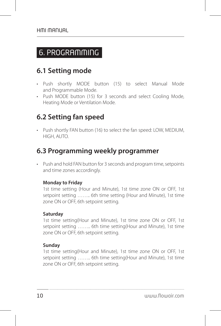## 6. PROGRAMMING

### **6.1 Setting mode**

- Push shortly MODE button (15) to select Manual Mode and Programmable Mode.
- Push MODE button (15) for 3 seconds and select Cooling Mode, Heating Mode or Ventilation Mode.

### **6.2 Setting fan speed**

• Push shortly FAN button (16) to select the fan speed: LOW, MEDIUM, HIGH, AUTO.

#### **6.3 Programming weekly programmer**

• Push and hold FAN button for 3 seconds and program time, setpoints and time zones accordingly.

#### **Monday to Friday**

1st time setting (Hour and Minute), 1st time zone ON or OFF, 1st setpoint setting …….. 6th time setting (Hour and Minute), 1st time zone ON or OFF, 6th setpoint setting.

#### **Saturday**

1st time setting(Hour and Minute), 1st time zone ON or OFF, 1st setpoint setting …….. 6th time setting(Hour and Minute), 1st time zone ON or OFF, 6th setpoint setting.

#### **Sunday**

1st time setting(Hour and Minute), 1st time zone ON or OFF, 1st setpoint setting …….. 6th time setting(Hour and Minute), 1st time zone ON or OFF, 6th setpoint setting.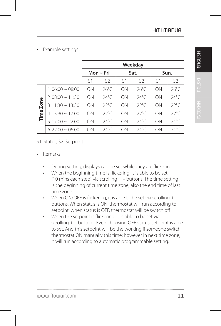#### • Example settings

|               |                         | Weekday |                |    |                |    |                |
|---------------|-------------------------|---------|----------------|----|----------------|----|----------------|
|               |                         |         | Mon $\sim$ Fri |    | Sat.           |    | Sun.           |
|               |                         | S1      | S <sub>2</sub> | S1 | S <sub>2</sub> | S1 | S <sub>2</sub> |
| Zone<br>Time. | $106:00 \sim 08:00$     | ON      | $26^{\circ}$ C | ON | $26^{\circ}$ C | ON | 26°C           |
|               | $208:00 \sim 11:30$     | ON      | $24^{\circ}$ C | ON | $24^{\circ}$ C | ON | $24^{\circ}$ C |
|               | $3.11:30 \approx 13:30$ | ON      | $22^{\circ}$ C | ON | $22^{\circ}$ C | ON | $22^{\circ}$ C |
|               | 4 13:30 $\sim$ 17:00    | ON      | $22^{\circ}$ C | ON | $22^{\circ}$ C | ON | $22^{\circ}$ C |
|               | $5.17:00 \approx 22:00$ | ON      | $74^{\circ}$ C | ON | $24^{\circ}$ C | ON | $74^{\circ}$ C |
|               | $6.22:00 \sim 06:00$    | ON      | $24^{\circ}$ C | ON | $24^{\circ}$ C | ON | $74^{\circ}$ C |

S1: Status; S2: Setpoint

- Remarks
	- During setting, displays can be set while they are flickering.
	- When the beginning time is flickering, it is able to be set (10 mins each step) via scrolling  $+ -$  buttons. The time setting is the beginning of current time zone, also the end time of last time zone.
	- When ON/OFF is flickering, it is able to be set via scrolling  $+$  buttons. When status is ON, thermostat will run according to setpoint; when status is OFF, thermostat will be switch off
	- When the setpoint is flickering, it is able to be set via scrolling + – buttons. Even choosing OFF status, setpoint is able to set. And this setpoint will be the working if someone switch thermostat ON manually this time; however in next time zone, it will run according to automatic programmable setting.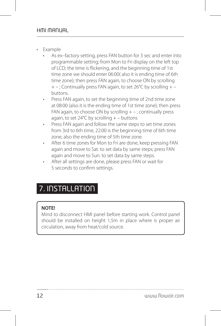- Example
	- As ex–factory setting, press FAN button for 3 sec and enter into programmable setting; from Mon to Fri display on the left top of LCD; the time is flickering, and the beginning time of 1st time zone we should enter 06:00( also it is ending time of 6th time zone); then press FAN again, to choose ON by scrolling + – ; Continually press FAN again, to set 26°C by scrolling + – buttons.
	- Press FAN again, to set the beginning time of 2nd time zone at 08:00 (also it is the ending time of 1st time zone); then press FAN again, to choose ON by scrolling  $+ -$ : continually press again, to set  $24^{\circ}$ C by scrolling  $+$  – buttons
	- Press FAN again and follow the same steps to set time zones from 3rd to 6th time, 22:00 is the beginning time of 6th time zone, also the ending time of 5th time zone.
	- After 6 time zones for Mon to Fri are done, keep pressing FAN again and move to Sat. to set data by same steps; press FAN again and move to Sun. to set data by same steps.
	- After all settings are done, please press FAN or wait for 5 seconds to confirm settings.

## 7. INSTALLATION

#### **NOTE!**

Mind to disconnect HMI panel before starting work. Control panel should be installed on height 1,5m in place where is proper air circulation, away from heat/cold source.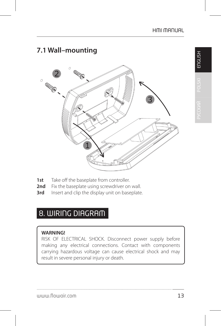### **7.1 Wall–mounting**



- **1st** Take off the baseplate from controller.<br>**2nd** Fix the baseplate using screwdriver on
- **2nd** Fix the baseplate using screwdriver on wall.<br>**3rd** Insert and clin the display unit on baseplate
- Insert and clip the display unit on baseplate.

## 8. WIRING DIAGRAM

#### **WARNING!**

RISK OF ELECTRICAL SHOCK. Disconnect power supply before making any electrical connections. Contact with components carrying hazardous voltage can cause electrical shock and may result in severe personal injury or death.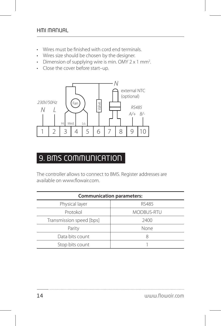#### HMI MANUAL

- Wires must be finished with cord end terminals.
- Wires size should be chosen by the designer.
- Dimension of supplying wire is min. OMY 2 x 1 mm<sup>2</sup>. .
- Close the cover before start–up.



## 9. BMS COMMUNICATION

The controller allows to connect to BMS. Register addresses are available on www.flowair.com.

| <b>Communication parameters:</b> |                   |  |  |  |
|----------------------------------|-------------------|--|--|--|
| Physical layer                   | <b>RS485</b>      |  |  |  |
| Protokol                         | <b>MODBUS-RTU</b> |  |  |  |
| Transmission speed [bps]         | 2400              |  |  |  |
| Parity                           | None              |  |  |  |
| Data bits count                  | 8                 |  |  |  |
| Stop bits count                  |                   |  |  |  |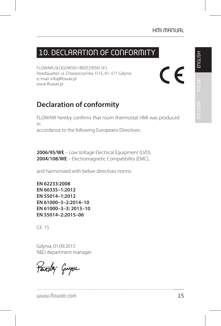$\epsilon$ 

## 10. DECLARATION OF CONFORMITY

FLOWAIR GŁOGOWSKI I BRZEZIŃSKI SP.J. Headquarter: ul. Chwaszczyńska 151E, 81–571 Gdynia e–mail: info@flowair.pl www.flowair.pl

## **Declaration of conformity**

FLOWAIR hereby confirms that room thermostat HMI was produced in accordance to the following Europeans Directives:

2006/95/WE - Low Voltage Electrical Equipment (LVD), **2004/108/WE** – Electromagnetic Compatibility (EMC),

and harmonized with below directives norms:

**EN 62233:2008 EN 60335–1:2012 EN 55014–1:2012 EN 61000–3–2:2014–10 EN 61000–3–3: 2013–10 EN 55014–2:2015–06**

 $CF: 15$ 

Gdynia, 01.09.2015 R&D department manager

Packy Guyor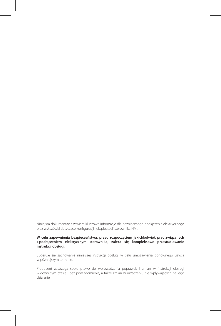Niniejsza dokumentacja zawiera kluczowe informacje dla bezpiecznego podłączenia elektrycznego oraz wskazówki dotyczące konfiguracji i eksploatacji sterownika HMI.

#### **W celu zapewnienia bezpieczeństwa, przed rozpoczęciem jakichkolwiek prac związanych z podłączeniem elektrycznym sterownika, zaleca się kompleksowe przestudiowanie instrukcji obsługi.**

Sugeruje się zachowanie niniejszej instrukcji obsługi w celu umożliwienia ponownego użycia w późniejszym terminie.

Producent zastrzega sobie prawo do wprowadzenia poprawek i zmian w instrukcji obsługi w dowolnym czasie i bez powiadomienia, a także zmian w urządzeniu nie wpływających na jego działanie.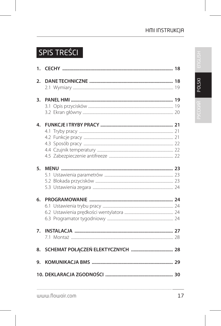## SPIS TREŚCI

| 2.               |                                      |  |
|------------------|--------------------------------------|--|
|                  |                                      |  |
| $\overline{3}$ . |                                      |  |
|                  |                                      |  |
|                  |                                      |  |
| 4.               |                                      |  |
|                  |                                      |  |
|                  |                                      |  |
|                  |                                      |  |
|                  |                                      |  |
|                  |                                      |  |
| 5.               |                                      |  |
|                  |                                      |  |
|                  |                                      |  |
|                  |                                      |  |
| 6.               |                                      |  |
|                  |                                      |  |
|                  |                                      |  |
|                  |                                      |  |
| 7 <sub>1</sub>   |                                      |  |
|                  |                                      |  |
|                  | 8. SCHEMAT POŁĄCZEŃ ELEKTYCZNYCH  28 |  |
| 9.               |                                      |  |
|                  |                                      |  |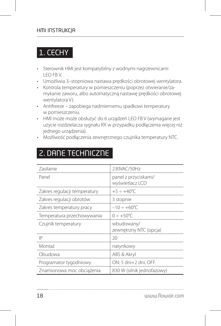## 1. CECHY

- Sterownik HMI jest kompatybilny z wodnymi nagrzewnicami LEO FB V.
- Umożliwia 3–stopniowa nastawa prędkości obrotowej wentylatora.
- Kontrola temperatury w pomieszczeniu (poprzez otwieranie/zamykanie zaworu, albo automatyczną nastawę prędkości obrotowej wentylatora V).
- Antifreeze zapobiega nadmiernemu spadkowi temperatury w pomieszczeniu.
- HMI może może obsłużyć do 6 urządzeń LEO FB V (wymagane jest użycie rozdzielacza sygnału RX w przypadku podłączenia więcej niż jednego urządzenia).
- Możliwość podłączenia zewnętrznego czujnika temperatury NTC.

## 2. DANE TECHNICZNE

| Zasilanie                    | 230VAC/50Hz                             |
|------------------------------|-----------------------------------------|
| Panel                        | panel z przyciskami/<br>wyświetlacz LCD |
| Zakres regulacji temperatury | $+5 \div +40^{\circ}$ C                 |
| Zakres regulacji obrotów     | 3 stopnie                               |
| Zakres temperatury pracy     | $-10 \div +60^{\circ}$ C                |
| Temperatura przechowywania   | $0 \div +50^{\circ}$ C                  |
| Czujnik temperatury          | wbudowany/<br>zewnętrzny NTC (opcja)    |
| IP                           | 20                                      |
| Montaż                       | natynkowy                               |
| Obudowa                      | ABS & Akryl                             |
| Programator tygodniowy       | ON: 5 dni+2 dni, OFF.                   |
| Znamionowa moc obciążenia    | 830 W (silnik jednofazowy)              |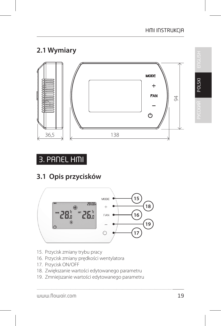POLSKI

## **2.1 Wymiary**



## 3. PANEL HMI

### **3.1 Opis przycisków**



- 15. Przycisk zmiany trybu pracy
- 16. Przycisk zmiany prędkości wentylatora
- 17. Przycisk ON/OFF
- 18. Zwiększanie wartości edytowanego parametru
- 19. Zmniejszanie wartości edytowanego parametru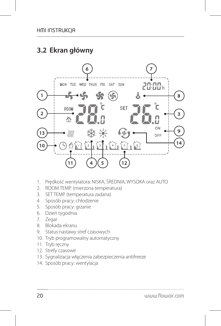### **3.2 Ekran główny**



- 1. Prędkość wentylatora: NISKA, ŚREDNIA, WYSOKA oraz AUTO
- 2. ROOM TEMP. (mierzona temperatura)
- 3. SET TEMP. (temperatura zadana)
- 4. Sposób pracy: chłodzenie
- 5. Sposób pracy: grzanie
- 6. Dzień tygodnia
- 7. Zegar
- 8. Blokada ekranu
- 9. Status nastawy stref czasowych
- 10. Tryb programowalny automatyczny
- 11. Tryb ręczny
- 12. Strefy czasowe
- 13. Sygnalizacja włączenia zabezpieczenia antifreeze
- 14. Sposób pracy: wentylacja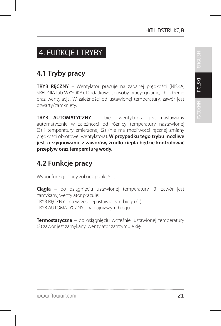## 4. FUNKCJE I TRYBY

### **4.1 Tryby pracy**

**TRYB RĘCZNY** – Wentylator pracuje na zadanej prędkości (NISKA, ŚREDNIA lub WYSOKA). Dodatkowe sposoby pracy: grzanie, chłodzenie oraz wentylacja. W zależności od ustawionej temperatury, zawór jest otwarty/zamknięty.

**TRYB AUTOMATYCZNY** – bieg wentylatora jest nastawiany automatycznie w zależności od różnicy temperatury nastawionej (3) i temperatury zmierzonej (2) (nie ma możliwości ręcznej zmiany prędkości obrotowej wentylatora). **W przypadku tego trybu możliwe jest zrezygnowanie z zaworów, źródło ciepła będzie kontrolować przepływ oraz temperaturę wody.**

### **4.2 Funkcje pracy**

Wybór funkcji pracy zobacz punkt 5.1.

**Ciągła** – po osiągnięciu ustawionej temperatury (3) zawór jest zamykany, wentylator pracuje: TRYB RĘCZNY - na wcześniej ustawionym biegu (1) TRYB AUTOMATYCZNY - na najniższym biegu

**Termostatyczna** – po osiągnięciu wcześniej ustawionej temperatury (3) zawór jest zamykany, wentylator zatrzymuje się.

POLSKI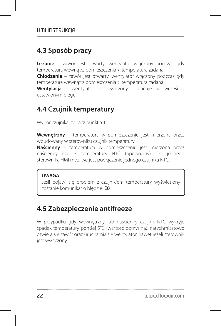### **4.3 Sposób pracy**

**Grzanie** – zawór jest otwarty, wentylator włączony podczas gdy temperatura wewnątrz pomieszczenia < temperatura zadana.

**Chłodzenie** – zawór jest otwarty, wentylator włączony podczas gdy temperatura wewnątrz pomieszczenia > temperatura zadana.

**Wentylacja** – wentylator jest włączony i pracuje na wcześniej ustawionym biegu.

### **4.4 Czujnik temperatury**

Wybór czujnika, zobacz punkt 5.1.

**Wewnętrzny** – temperatura w pomieszczeniu jest mierzona przez wbudowany w sterowniku czujnik temperatury.

**Naścienny** – temperatura w pomieszczeniu jest mierzona przez naścienny czujnik temperatury NTC (opcjonalny). Do jednego sterownika HMI możliwe jest podłączenie jednego czujnika NTC.

#### **UWAGA!**

Jeśli pojawi się problem z czujnikiem temperatury wyświetlony zostanie komunikat o błędzie: **E0**.

### **4.5 Zabezpieczenie antifreeze**

W przypadku gdy wewnętrzny lub naścienny czujnik NTC wykryje spadek temperatury poniżej 5°C (wartość domyślna), natychmiastowo otwiera się zawór oraz uruchamia się wentylator, nawet jeżeli sterownik jest wyłączony.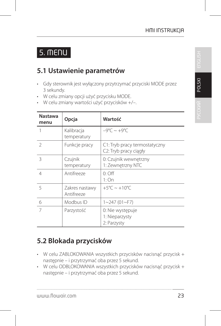## 5. MENU

### **5.1 Ustawienie parametrów**

- Gdy sterownik jest wyłączony przytrzymać przyciski MODE przez 3 sekundy.
- W celu zmiany opcji użyć przycisku MODE.
- W celu zmiany wartości użyć przycisków +/–.

| <b>Nastawa</b><br>menu | Opcja                               | Wartość                                                |
|------------------------|-------------------------------------|--------------------------------------------------------|
|                        | Kalibracja<br>temperatury           | $-9^{\circ}$ C ~ +9 $^{\circ}$ C                       |
| $\mathcal{D}$          | Funkcje pracy                       | C1: Tryb pracy termostatyczny<br>C2: Tryb pracy ciagly |
| 3                      | Czujnik<br>temperatury              | 0: Czujnik wewnętrzny<br>1: Zewnetrzny NTC             |
| $\overline{4}$         | <b>Antifreeze</b>                   | $0:$ Off<br>1:On                                       |
| 5                      | Zakres nastawy<br><b>Antifreeze</b> | $+5^{\circ}$ C ~ $+10^{\circ}$ C                       |
| 6                      | Modbus ID                           | $1 - 247(01 - F7)$                                     |
| $\overline{7}$         | Parzystość                          | 0: Nie występuje<br>1: Nieparzysty<br>2: Parzysty      |

### **5.2 Blokada przycisków**

- W celu ZABLOKOWANIA wszystkich przycisków nacisnąć przycisk + następnie – i przytrzymać oba przez 5 sekund.
- W celu ODBLOKOWANIA wszystkich przycisków nacisnąć przycisk + następnie – i przytrzymać oba przez 5 sekund.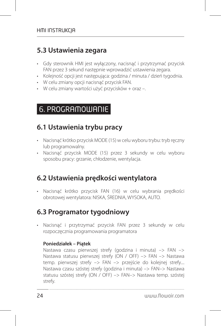### **5.3 Ustawienia zegara**

- Gdy sterownik HMI jest wyłączony, nacisnąć i przytrzymać przycisk FAN przez 3 sekund następnie wprowadzić ustawienia zegara.
- Kolejność opcji jest następująca: godzina / minuta / dzień tygodnia.
- W celu zmiany opcji nacisnąć przycisk FAN.
- W celu zmiany wartości użyć przycisków + oraz –.

## 6. PROGRAMOWANIE

### **6.1 Ustawienia trybu pracy**

- Nacisnąć krótko przycisk MODE (15) w celu wyboru trybu: tryb ręczny lub programowalny.
- Nacisnąć przycisk MODE (15) przez 3 sekundy w celu wyboru sposobu pracy: grzanie, chłodzenie, wentylacja.

### **6.2 Ustawienia prędkości wentylatora**

• Nacisnąć krótko przycisk FAN (16) w celu wybrania prędkości obrotowej wentylatora: NISKA, ŚREDNIA, WYSOKA, AUTO.

### **6.3 Programator tygodniowy**

• Nacisnąć i przytrzymać przycisk FAN przez 3 sekundy w celu rozpoczęcznia programowania programatora

#### **Poniedziałek – Piątek**

Nastawa czasu pierwszej strefy (godzina i minuta) –> FAN –> Nastawa statusu pierwszej strefy (ON / OFF) –> FAN –> Nastawa temp. pierwszej strefy –> FAN –> przejście do kolejnej strefy.... Nastawa czasu szóstej strefy (godzina i minuta) –> FAN–> Nastawa statusu szóstej strefy (ON / OFF) –> FAN–> Nastawa temp. szóstej strefy.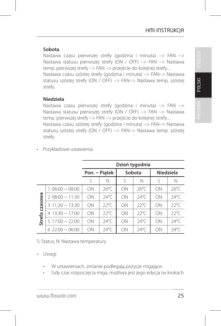POLSKI

#### **Sobota**

Nastawa czasu pierwszei strefy (godzina i minuta) –> FAN –> Nastawa statusu pierwszei strefy (ON / OFF) –> FAN –> Nastawa temp. pierwszej strefy –> FAN –> przejście do kolejnej strefy....

Nastawa czasu szóstej strefy (godzina i minuta) –> FAN–> Nastawa statusu szóstej strefy (ON / OFF) –> FAN–> Nastawa temp. szóstej strefy.

#### **Niedziela**

Nastawa czasu pierwszej strefy (godzina i minuta) -> FAN -> Nastawa statusu pierwszej strefy (ON / OFF) –> FAN –> Nastawa temp. pierwszej strefy –> FAN –> przejście do kolejnej strefy....

Nastawa czasu szóstej strefy (godzina i minuta) –> FAN–> Nastawa statusu szóstej strefy (ON / OFF) –> FAN–> Nastawa temp. szóstej strefy.

|                |                         | Dzień tygodnia |                |    |                |    |                |
|----------------|-------------------------|----------------|----------------|----|----------------|----|----------------|
|                |                         |                | Pon. ~ Piatek  |    | Sobota         |    | Niedziela      |
|                |                         |                | Ν              | S  | N              | S  | Ν              |
|                | $1.06:00 \sim 08:00$    | ON             | $26^{\circ}$ C | ON | $26^{\circ}$ C | ON | $26^{\circ}$ C |
| Strefa czasowa | $2.08:00 \approx 11:30$ | ON             | $74^{\circ}$ C | ON | $74^{\circ}$ C | ON | $74^{\circ}$ C |
|                | $311:30 \approx 13:30$  | ON             | $22^{\circ}$ C | ON | $22^{\circ}$ C | ON | $22^{\circ}$ C |
|                | 4 13:30 $\sim$ 17:00    | ON             | $22^{\circ}$ C | ON | $22^{\circ}$ C | ON | $22^{\circ}$ C |
|                | $517:00 \approx 22:00$  | ON             | $74^{\circ}$ C | ON | $74^{\circ}$ C | ON | $74^{\circ}$ C |
|                | $622:00 \sim 06:00$     | ΟN             | $74^{\circ}$ C | ON | $24^{\circ}$ C | ON | $74^{\circ}$ C |

• Przykładowe ustawienia

S: Status; N: Nastawa temperatury

- Uwagi
	- W ustawieniach, zmianie podlegają pozycje migające.
	- Gdy czas rozpoczęcia miga, możliwa jest jego edycja (w krokach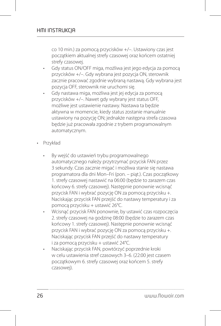co 10 min.) za pomocą przycisków +/–. Ustawiony czas jest początkiem aktualnej strefy czasowej oraz końcem ostatniej strefy czasowej.

- Gdy status ON/OFF miga, możliwa jest jego edycja za pomocą przycisków +/–. Gdy wybrana jest pozycja ON, sterownik zacznie pracować zgodnie wybraną nastawą. Gdy wybrana jest pozycja OFF, sterownik nie uruchomi się.
- Gdy nastawa miga, możliwa jest jej edycja za pomocą przycisków +/–. Nawet gdy wybrany jest status OFF, możliwe jest ustawienie nastawy. Nastawa ta będzie aktywna w momencie, kiedy status zostanie manualnie ustawiony na pozycję ON; jednakże następna strefa czasowa będzie już pracowała zgodnie z trybem programowalnym automatycznym.
- Przykład
	- By wejść do ustawień trybu programowalnego automatycznego należy przytrzymać przycisk FAN przez 3 sekundy. Czas zacznie migać i możliwa stanie się nastawa programatora dla dni Mon–Fri (pon. – piąt.). Czas początkowy 1. strefy czasowej nastawić na 06:00 (będzie to zarazem czas końcowy 6. strefy czasowej). Następnie ponownie wcisnąć przycisk FAN i wybrać pozycję ON za pomocą przycisku +. Naciskając przycisk FAN przejść do nastawy temperatury i za pomocą przycisku + ustawić 26°C.
	- Wcisnąć przycisk FAN ponownie, by ustawić czas rozpoczęcia 2. strefy czasowej na godzinę 08:00 (będzie to zarazem czas końcowy 1. strefy czasowej). Następnie ponownie wcisnąć przycisk FAN i wybrać pozycję ON za pomocą przycisku +. Naciskając przycisk FAN przejść do nastawy temperatury i za pomocą przycisku + ustawić 24°C.
	- Naciskając przycisk FAN, powtórzyć poprzednie kroki w celu ustawienia stref czasowych 3–6. (22:00 jest czasem początkowym 6. strefy czasowej oraz końcem 5. strefy czasowej).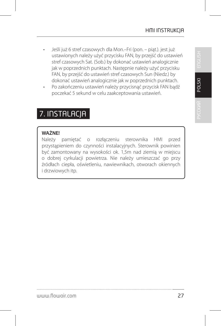- Jeśli już 6 stref czasowych dla Mon.–Fri (pon. piąt.). jest już ustawionych należy użyć przycisku FAN, by przejść do ustawień stref czasowych Sat. (Sob.) by dokonać ustawień analogicznie jak w poprzednich punktach. Następnie należy użyć przycisku FAN, by przejść do ustawień stref czasowych Sun (Niedz.) by dokonać ustawień analogicznie jak w poprzednich punktach.
- Po zakończeniu ustawień należy przycisnąć przycisk FAN bądź poczekać 5 sekund w celu zaakceptowania ustawień.

## 7. INSTALACJA

#### **WAŻNE!**

Należy pamiętać o rozłączeniu sterownika HMI przed przystąpieniem do czynności instalacyjnych. Sterownik powinien być zamontowany na wysokości ok. 1,5m nad ziemią w miejscu o dobrej cyrkulacji powietrza. Nie należy umieszczać go przy źródłach ciepła, oświetleniu, nawiewnikach, otworach okiennych i drzwiowych itp.

POLSKI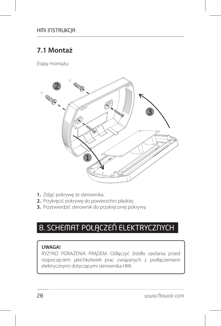### **7.1 Montaż**

Etapy montażu:



- **1.** Zdjąć pokrywę ze sterownika.
- **2.** Przykręcić pokrywę do powierzchni płaskiej.
- **3.** Przytwierdzić sterownik do przykręconej pokrywy.

## 8. SCHEMAT POŁĄCZEŃ ELEKTRYCZNYCH

#### **UWAGA!**

RYZYKO PORAŻENIA PRĄDEM. Odłączyć źródło zasilania przed rozpoczęciem jakichkolwiek prac związanych z podłączeniami elektrycznymi dotyczącymi sterownika HMI.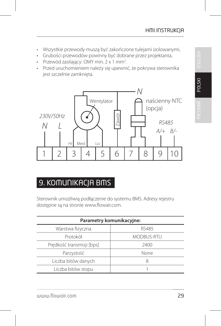- Wszystkie przewody muszą być zakończone tulejami izolowanymi,
- Grubości przewodów powinny być dobrane przez projektanta,
- Przewód zasilający: OMY min. 2 x 1 mm2 .
- Przed uruchomieniem należy się upewnić, że pokrywa sterownika jest szczelnie zamknięta.



## 9. KOMUNIKACJA BMS

Sterownik umożliwią podłączenie do systemu BMS. Adresy rejestru dostępne są na stronie www.flowair.com.

| Parametry komunikacyjne:  |                   |  |  |  |
|---------------------------|-------------------|--|--|--|
| Warstwa fizyczna          | <b>RS485</b>      |  |  |  |
| Protokół                  | <b>MODBUS-RTU</b> |  |  |  |
| Predkość transmisji [bps] | 2400              |  |  |  |
| Parzystość                | None              |  |  |  |
| Liczba bitów danych       | 8                 |  |  |  |
| Liczba bitów stopu        |                   |  |  |  |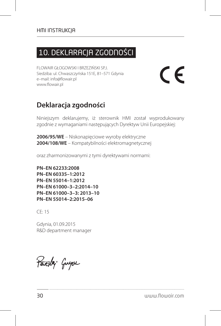## 10. DEKLARACJA ZGODNOŚCI

FLOWAIR GŁOGOWSKI I BRZEZIŃSKI SP.J. Siedziba: ul. Chwaszczyńska 151E, 81–571 Gdynia e–mail: info@flowair.pl www.flowair.pl

 $\epsilon$ 

### **Deklaracja zgodności**

Niniejszym deklarujemy, iż sterownik HMI został wyprodukowany zgodnie z wymaganiami następujących Dyrektyw Unii Europejskiej:

**2006/95/WE** – Niskonapięciowe wyroby elektryczne **2004/108/WE** – Kompatybilności elektromagnetycznej

oraz zharmonizowanymi z tymi dyrektywami normami:

**PN–EN 62233:2008 PN–EN 60335–1:2012 PN–EN 55014–1:2012 PN–EN 61000–3–2:2014–10 PN–EN 61000–3–3: 2013–10 PN–EN 55014–2:2015–06**

 $CF: 15$ 

Gdynia, 01.09.2015 R&D department manager

Paresly Guyon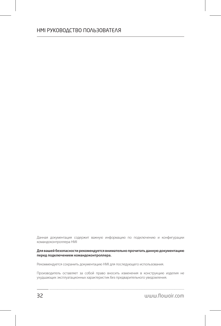Данная документация содержит важную информацию по подключению и конфигурации командоконтроллера HMI

#### **Для вашей безопасности рекомендуется внимательно прочитать данную документацию перед подключением командоконтроллера.**

Рекоммендуется сохранить документацию HMI для последующего использования.

Производитель оставляет за собой право вносить изменения в конструкцию изделия не ухудшающих эксплуатационных характеристик без предварительного уведомления.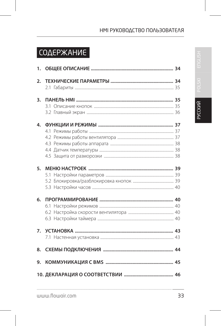## СОДЕРЖАНИЕ

| $\mathcal{P}$    |  |
|------------------|--|
|                  |  |
| 3.               |  |
|                  |  |
|                  |  |
| 4.               |  |
|                  |  |
|                  |  |
|                  |  |
|                  |  |
|                  |  |
| 5.               |  |
|                  |  |
|                  |  |
|                  |  |
| б.               |  |
|                  |  |
|                  |  |
|                  |  |
| $\overline{7}$ . |  |
|                  |  |
| 8.               |  |
| 9.               |  |
|                  |  |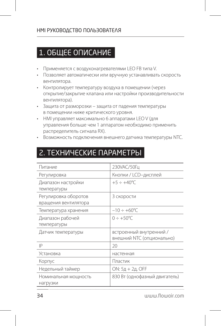## 1. ОБЩЕЕ ОПИСАНИЕ

- Применяется с воздухонагревателями LEO FB типа V.
- Позволяет автоматически или вручную устанавливать скорость вентилятора.
- Контролирует температуру воздуха в помещении (через открытие/закрытие клапана или настройки производительности вентилятора).
- Защита от разморозки защита от падения температуры в помещении ниже критического уровня.
- HMI управляет максимально 6 аппаратами LEO V (для управления больше чем 1 аппаратом необходимо применить распределитель сигнала RX).
- Возможность подключения внешнего датчика температуры NTC.

## 2. ТЕХНИЧЕСКИЕ ПАРАМЕТРЫ

| Питание                                      | 230VAC/50Гц                                          |
|----------------------------------------------|------------------------------------------------------|
| Регулировка                                  | Кнопки / LCD-дисплей                                 |
| Диапазон настройки<br>температуры            | $+5 \div +40^{\circ}$ C                              |
| Регулировка оборотов<br>вращения вентилятора | 3 скорости                                           |
| Температура хранения                         | $-10 \div +60^{\circ}$ C                             |
| Диапазон рабочей<br>температуры              | $0 \div +50^{\circ}$ C                               |
| Датчик температуры                           | встроенный внутренний /<br>внешний NTC (опционально) |
| IP                                           | 20                                                   |
| Установка                                    | настенная                                            |
| Корпус                                       | Пластик                                              |
| Недельный таймер                             | ON: 5д + 2д, OFF                                     |
| Номинальная мощность<br>нагрузки             | 830 Вт (однофазный двигатель)                        |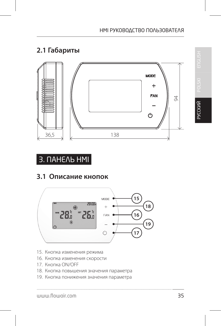### **2.1 Габариты**



**3. ПАНЕЛЬ НМІ** 

### **3.1 Описание кнопок**



- 15. Кнопка изменения режима
- 16. Кнопка изменения скорости
- 17. Кнопка ON/OFF
- 18. Кнопка повышения значения параметра
- 19. Кнопка понижения значения параметра

PYCCKWN POLSKI ENGLISH

PYCCKMЙ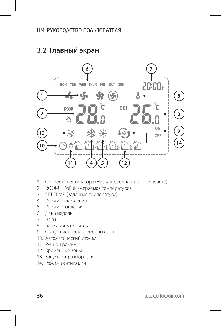### **3.2 Главный экран**



- 1. Скорость вентилятора (Низкая, средняя, высокая и авто)
- 2. ROOM TEMP. (Измеряемая температура)
- 3. SET TEMP. (Заданная температура)
- 4. Режим охлаждения
- 5. Режим отопления
- 6. День недели
- 7. Часы
- 8. Блокировка кнопок
- 9. Статус настроек временных зон
- 10. Автоматический режим
- 11. Ручной режим
- 12. Временные зоны
- 13. Защита от разморозки
- 14. Режим вентиляции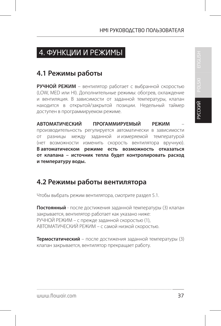## 4. ФУНКЦИИ И РЕЖИМЫ

#### **4.1 Режимы работы**

**РУЧНОЙ РЕЖИМ** – вентилятор работает с выбранной скоростью (LOW, MED или HI). Дополнительные режимы: обогрев, охлаждение и вентиляция. В зависимости от заданной температуры, клапан находится в открытой/закрытой позиции. Недельный таймер доступен в программируемом режиме.

#### **АВТОМАТИЧЕСКИЙ ПРОГАММИРУЕМЫЙ РЕЖИМ** – производительность регулируется автоматически в зависимости от разницы между заданной и измеряемой температурой (нет возможности изменить скорость вентилятора вручную). **В автоматическом режиме есть возможность отказаться от клапана – источник тепла будет контролировать расход**

**и температуру воды.**

### **4.2 Режимы работы вентилятора**

Чтобы выбрать режим вентилятора, смотрите раздел 5.1.

**Постоянный** - после достижения заданной температуры (3) клапан закрывается, вентилятор работает как указано ниже: РУЧНОЙ РЕЖИМ – с прежде заданной скоростью (1), АВТОМАТИЧЕСКИЙ РЕЖИМ – с самой низкой скоростью.

**Термостатический** – после достижения заданной температуры (3) клапан закрывается, вентилятор прекращает работу.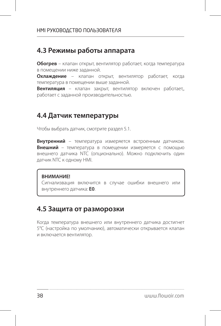#### **4.3 Режимы работы аппарата**

**Обогрев** – клапан открыт, вентилятор работает, когда температура в помещении ниже заданной.

**Охлаждение** – клапан открыт, вентилятор работает, когда температура в помещении выше заданной.

**Вентиляция** – клапан закрыт, вентилятор включен работает,, работает с заданной производительностью.

#### **4.4 Датчик температуры**

Чтобы выбрать датчик, смотрите раздел 5.1.

**Внутренний** – температура измеряется встроенным датчиком. **Внешний** – температура в помещении измеряется с помощью внешнего датчика NTC (опционально). Можно подключить один датчик NTC к одному HMI.

#### **ВНИМАНИЕ!**

Сигнализвация включится в случае ошибки внешнего или внутреннего датчика: **E0**.

#### **4.5 Защита от разморозки**

Когда температура внешнего или внутреннего датчика достигнет 5°С (настройка по умолчанию), автоматически открывается клапан и включается вентилятор.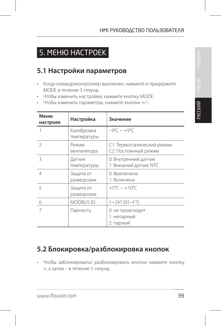## 5. МЕНЮ НАСТРОЕК

#### **5.1 Настройки параметров**

- Когда командоконтроллер выключен, нажмите и придержите MODE в течение 3 секунд.
- Чтобы изменить настройки, нажмите кнопку MODE.
- Чтобы изменить параметры, нажмите кнопки +/–.

| Меню<br>настроек | Настройка                 | Значение                                           |
|------------------|---------------------------|----------------------------------------------------|
|                  | Калибровка<br>температуры | $-9^{\circ}$ C ~ +9°C                              |
| $\mathfrak{D}$   | Режим<br>вентилятора      | С1: Термостатический режим<br>С2: Постоянный режим |
| 3                | Датчик<br>температуры     | 0: Внутренний датчик<br>1: Внешний датчик NTC      |
| $\overline{4}$   | Защита от<br>разморозки   | 0: Выключена<br>1: Включена                        |
| 5                | Защита от<br>разморозки   | $+5^{\circ}$ C ~ $+10^{\circ}$ C                   |
| 6                | <b>MODBUS ID</b>          | $1 - 247(01 - F7)$                                 |
| 7                | Парность                  | 0: не происходит<br>1: непарный<br>2: парный       |

### **5.2 Блокировка/разблокировка кнопок**

• Чтобы заблокировать/ разблокировать кнопки нажмите кнопку +, а затем – в течение 5 секунд.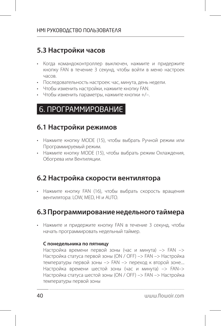### **5.3 Настройки часов**

- Когда командоконтроллер выключен, нажмите и придержите кнопку FAN в течение 3 секунд, чтобы войти в меню настроек часов.
- Последовательность настроек: час, минута, день недели.
- Чтобы изменить настройки, нажмите кнопку FAN.
- Чтобы изменить параметры, нажмите кнопки +/–.

## 6. ПРОГРАММИРОВАНИЕ

#### **6.1 Настройки режимов**

- Нажмите кнопку MODE (15), чтобы выбрать Ручной режим или Программируемый режим.
- Нажмите кнопку MODE (15), чтобы выбрать режим Охлаждения, Обогрева или Вентиляции.

#### **6.2 Настройка скорости вентилятора**

• Нажмите кнопку FAN (16), чтобы выбрать скорость вращения вентилятора: LOW, MED, HI и AUTO.

#### **6.3 Программирование недельного таймера**

• Нажмите и придержите кнопку FAN в течение 3 секунд, чтобы начать программировать недельный таймер.

#### **С понедельника по пятницу**

Настройка времени первой зоны (час и минута) –> FAN –> Настройка статуса первой зоны (ON / OFF) –> FAN –> Настройка температуры первой зоны –> FAN –> переход к второй зоне.... Настройка времени шестой зоны (час и минута) –> FAN–> Настройка статуса шестой зоны (ON / OFF) –> FAN –> Настройка температуры первой зоны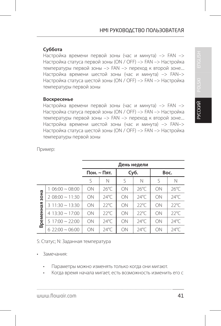#### HMI РУКОВОДСТВО ПОЛЬЗОВАТЕЛЯ

#### **Суббота**

Настройка времени первой зоны (час и минута) –> FAN –> Настройка статуса первой зоны (ON / OFF) –> FAN –> Настройка температуры первой зоны –> FAN –> переход к второй зоне.... Настройка времени шестой зоны (час и минута) –> FAN–> Настройка статуса шестой зоны (ON / OFF) –> FAN –> Настройка температуры первой зоны

#### **Воскресенье**

Настройка времени первой зоны (час и минута) –> FAN –> Настройка статуса первой зоны (ON / OFF) –> FAN –> Настройка температуры первой зоны –> FAN –> переход к второй зоне.... Настройка времени шестой зоны (час и минута) –> FAN–> Настройка статуса шестой зоны (ON / OFF) –> FAN –> Настройка температуры первой зоны

|                               |                         | День недели |                |      |                |      |                |  |
|-------------------------------|-------------------------|-------------|----------------|------|----------------|------|----------------|--|
|                               |                         | Пон. ~ Пят. |                | Cy6. |                | Boc. |                |  |
|                               |                         |             | Ν              | S    | N              | S    | Ν              |  |
| 30 <sub>Ha</sub><br>Временная | $106:00 \sim 08:00$     | ON          | $26^{\circ}$ C | ON   | $26^{\circ}$ C | ON   | $26^{\circ}$ C |  |
|                               | $2.08:00 \approx 11:30$ | ON          | $74^{\circ}$ C | ON   | $24^{\circ}$ C | ON   | $74^{\circ}$ C |  |
|                               | $311:30 \sim 13:30$     | ON          | $22^{\circ}C$  | ON   | $22^{\circ}$ C | ON   | $22^{\circ}$ C |  |
|                               | 4 13:30 $\sim$ 17:00    | ON          | $22^{\circ}C$  | ON   | $22^{\circ}$ C | ON   | $22^{\circ}$ C |  |
|                               | $517:00 \sim 22:00$     | ON          | $74^{\circ}$ C | ON   | $74^{\circ}$ C | ON   | $74^{\circ}$ C |  |
|                               | $622:00 \sim 06:00$     | ON          | $24^{\circ}$ C | ON   | $24^{\circ}$ C | ON   | $74^{\circ}$ C |  |

Пример:

S: Статус; N: Заданная температура

#### • Замечания:

- Параметры можно изменять только когда они мигают.
- Когда время начала мигает, есть возможность изменить его с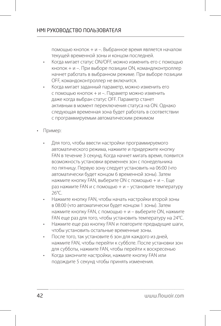помощью кнопок + и –. Выбранное время является началом текущей временной зоны и концом последней.

- Когда мигает статус ON/OFF, можно изменить его с помощью кнопок + и –. При выборе позиции ON, командлконтроллер начнет работать в выбранном режиме. При выборе позиции OFF, командоконтроллер не включится.
- Когда мигает заданный параметр, можно изменить его с помощью кнопок + и –. Параметр можно изменить даже когда выбран статус OFF. Параметр станет активным в момент переключения статуса на ON. Однако следующая временная зона будет работать в соответствии с программируемым автоматическим режимом
- Пример:
	- Для того, чтобы ввести настройки программируемого автоматического режима, нажмите и придержите кнопку FAN в течение 3 секунд. Когда начнет мигать время, появится возможность установки временнех зон с понедельника по пятницу. Первую зону следует установить на 06:00 (что автоматически будет концом 6 временной зоны). Затем нажмите кнопку FAN, выберите ON с помощью + и –. Еще раз нажмите FAN и с помощью + и – установите температуру  $26^{\circ}C$
	- Нажмите кнопку FAN, чтобы начать настройки второй зоны в 08:00 (что автоматически будет концом 1 зоны). Затем нажмите кнопку FAN, с помощью + и – выберите ON, нажмите FAN еще раз для того, чтобы установить температуру на 24°С.
	- Нажмите еще раз кнопку FAN и повторите предыдущие шаги, чтобы установить остальные временные зоны.
	- После того, так установите 6 зон для каждого из дней, нажмите FAN, чтобы перейти к субботе. После установки зон для субботы, нажмите FAN, чтобы перейти к воскресенью
	- Когда закончите настройки, нажмите кнопку FAN или подождите 5 секунд чтобы принять изменения.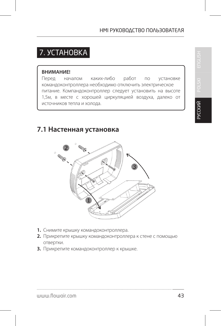## 7. УСТАНОВКА

## **ВНИМАНИЕ!**<br>Перел нач

Перед началом каких-либо работ по установке командоконтроллера необходимо отключить электрическое питание. Компандоконтроллер следует установить на высоте 1,5м, в месте с хорошей циркуляцией воздуха, далеко от источников тепла и холода.

#### **7.1 Настенная установка**



- **1.** Снимите крышку командоконтроллера.
- **2.** Прикрепите крышку командоконтроллера к стене с помощью отвертки.
- **3.** Прикрепите командоконтроллер к крышке.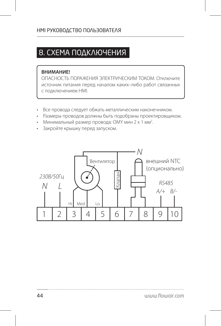## 8. СХЕМА ПОДКЛЮЧЕНИЯ

#### **ВНИМАНИЕ!**

ОПАСНОСТЬ ПОРАЖЕНИЯ ЭЛЕКТРИЧЕСКИМ ТОКОМ. Отключите источник питания перед началом каких–либо работ связанных с подключением HMI.

- Все провода следует обжать металлическим наконечником.
- Размеры проводов должны быть подобраны проектировщиком.
- Минимальный размер провода: ОМУ мин 2 х 1 мм<sup>2</sup>.
- Закройте крышку перед запуском.

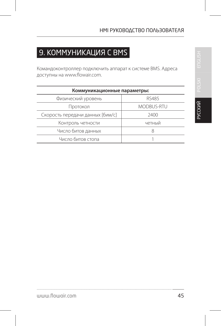## 9. КОММУНИКАЦИЯ С BMS

Командоконтроллер подключить аппарат к системе BMS. Адреса доступны на www.flowair.com.

| Коммуникационные параметры:      |                   |  |  |  |
|----------------------------------|-------------------|--|--|--|
| Физический уровень               | <b>RS485</b>      |  |  |  |
| Протокол                         | <b>MODBUS-RTU</b> |  |  |  |
| Скорость передачи данных [бим/с] | 2400              |  |  |  |
| Контроль четности                | четный            |  |  |  |
| Число битов данных               | 8                 |  |  |  |
| Число битов стопа                |                   |  |  |  |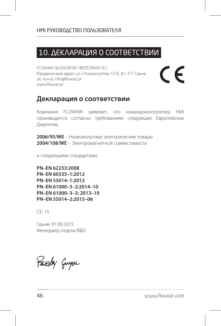## 10. ДЕКЛАРАЦИЯ О СООТВЕТСТВИИ

FLOWAIR GŁOGOWSKI I BRZEZIŃSKI SP.J. Юридический адрес: ул. Chwaszczyńska 151E, 81–571 Гдыня эл. почта: info@flowair.pl www.flowair.pl

 $\epsilon$ 

#### **Декларация о соответствии**

Компания FLOWAIR заявляет, что командоконтроллер HMI производится согласно требованиям следующих Европейских Директив:

**2006/95/WE** – Низковольтные электрические товары **2004/108/WE** – Электромагнитной совместимости

и следующими стандартами:

**PN–EN 62233:2008 PN–EN 60335–1:2012 PN–EN 55014–1:2012 PN–EN 61000–3–2:2014–10 PN–EN 61000–3–3: 2013–10 PN–EN 55014–2:2015–06**

 $CF: 15$ 

Гдыня, 01.09.2015 Менеджер отдела R&D

Paresly Guyon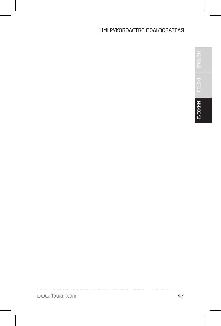#### HMI РУКОВОДСТВО ПОЛЬЗОВАТЕЛЯ

www.flowair.com